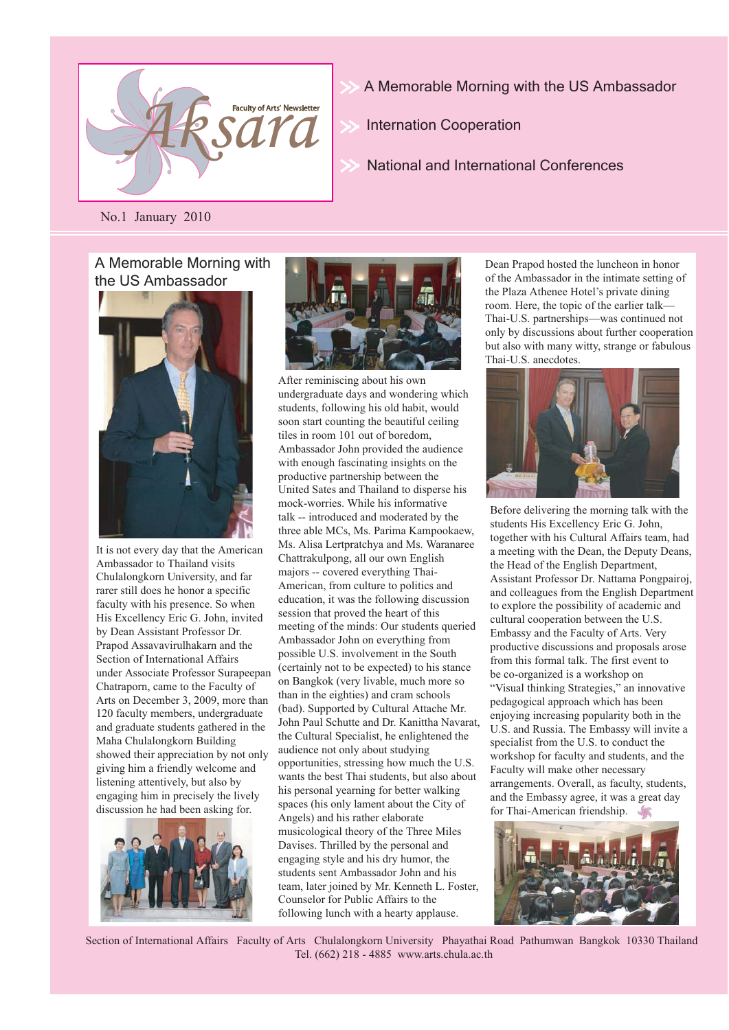

- A Memorable Morning with the US Ambassador
- Internation Cooperation
- National and International Conferences

No.1 January 2010

#### A Memorable Morning with the US Ambassador



It is not every day that the American Ambassador to Thailand visits Chulalongkorn University, and far rarer still does he honor a specific faculty with his presence. So when His Excellency Eric G. John, invited by Dean Assistant Professor Dr. Prapod Assavavirulhakarn and the Section of International Affairs under Associate Professor Surapeepan Chatraporn, came to the Faculty of Arts on December 3, 2009, more than 120 faculty members, undergraduate and graduate students gathered in the Maha Chulalongkorn Building showed their appreciation by not only giving him a friendly welcome and listening attentively, but also by engaging him in precisely the lively discussion he had been asking for.





After reminiscing about his own undergraduate days and wondering which students, following his old habit, would soon start counting the beautiful ceiling tiles in room 101 out of boredom, Ambassador John provided the audience with enough fascinating insights on the productive partnership between the United Sates and Thailand to disperse his mock-worries. While his informative talk -- introduced and moderated by the three able MCs, Ms. Parima Kampookaew, Ms. Alisa Lertpratchya and Ms. Waranaree Chattrakulpong, all our own English majors -- covered everything Thai-American, from culture to politics and education, it was the following discussion session that proved the heart of this meeting of the minds: Our students queried Ambassador John on everything from possible U.S. involvement in the South (certainly not to be expected) to his stance on Bangkok (very livable, much more so than in the eighties) and cram schools (bad). Supported by Cultural Attache Mr. John Paul Schutte and Dr. Kanittha Navarat, the Cultural Specialist, he enlightened the audience not only about studying opportunities, stressing how much the U.S. wants the best Thai students, but also about his personal yearning for better walking spaces (his only lament about the City of Angels) and his rather elaborate musicological theory of the Three Miles Davises. Thrilled by the personal and engaging style and his dry humor, the students sent Ambassador John and his team, later joined by Mr. Kenneth L. Foster, Counselor for Public Affairs to the following lunch with a hearty applause.

Dean Prapod hosted the luncheon in honor of the Ambassador in the intimate setting of the Plaza Athenee Hotel's private dining room. Here, the topic of the earlier talk— Thai-U.S. partnerships—was continued not only by discussions about further cooperation but also with many witty, strange or fabulous Thai-U.S. anecdotes.



Before delivering the morning talk with the students His Excellency Eric G. John, together with his Cultural Affairs team, had a meeting with the Dean, the Deputy Deans, the Head of the English Department, Assistant Professor Dr. Nattama Pongpairoj, and colleagues from the English Department to explore the possibility of academic and cultural cooperation between the U.S. Embassy and the Faculty of Arts. Very productive discussions and proposals arose from this formal talk. The first event to be co-organized is a workshop on "Visual thinking Strategies," an innovative pedagogical approach which has been enjoying increasing popularity both in the U.S. and Russia. The Embassy will invite a specialist from the U.S. to conduct the workshop for faculty and students, and the Faculty will make other necessary arrangements. Overall, as faculty, students, and the Embassy agree, it was a great day for Thai-American friendship.



Section of International Affairs Faculty of Arts Chulalongkorn University Phayathai Road Pathumwan Bangkok 10330 Thailand Tel. (662) 218 - 4885 www.arts.chula.ac.th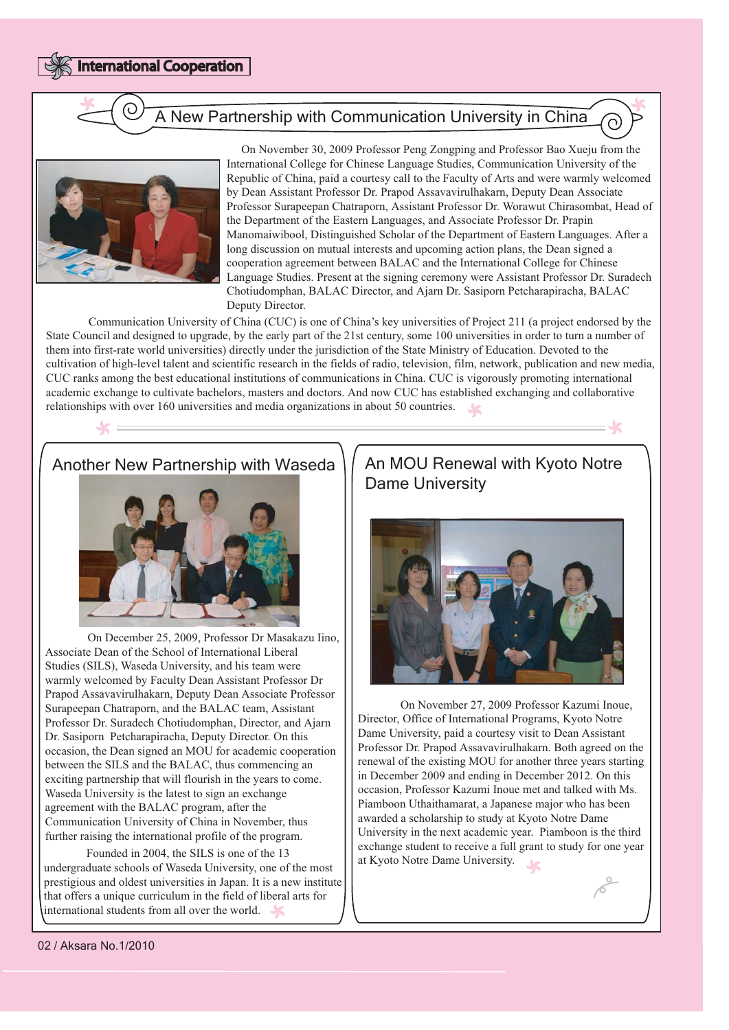

International Cooperation

# A New Partnership with Communication University in China



 On November 30, 2009 Professor Peng Zongping and Professor Bao Xueju from the International College for Chinese Language Studies, Communication University of the Republic of China, paid a courtesy call to the Faculty of Arts and were warmly welcomed by Dean Assistant Professor Dr. Prapod Assavavirulhakarn, Deputy Dean Associate Professor Surapeepan Chatraporn, Assistant Professor Dr. Worawut Chirasombat, Head of the Department of the Eastern Languages, and Associate Professor Dr. Prapin Manomaiwibool, Distinguished Scholar of the Department of Eastern Languages. After a long discussion on mutual interests and upcoming action plans, the Dean signed a cooperation agreement between BALAC and the International College for Chinese Language Studies. Present at the signing ceremony were Assistant Professor Dr. Suradech Chotiudomphan, BALAC Director, and Ajarn Dr. Sasiporn Petcharapiracha, BALAC Deputy Director.

 Communication University of China (CUC) is one of China's key universities of Project 211 (a project endorsed by the State Council and designed to upgrade, by the early part of the 21st century, some 100 universities in order to turn a number of them into first-rate world universities) directly under the jurisdiction of the State Ministry of Education. Devoted to the cultivation of high-level talent and scientific research in the fields of radio, television, film, network, publication and new media, CUC ranks among the best educational institutions of communications in China. CUC is vigorously promoting international academic exchange to cultivate bachelors, masters and doctors. And now CUC has established exchanging and collaborative relationships with over 160 universities and media organizations in about 50 countries.

#### Another New Partnership with Waseda



 On December 25, 2009, Professor Dr Masakazu Iino, Associate Dean of the School of International Liberal Studies (SILS), Waseda University, and his team were warmly welcomed by Faculty Dean Assistant Professor Dr Prapod Assavavirulhakarn, Deputy Dean Associate Professor Surapeepan Chatraporn, and the BALAC team, Assistant Professor Dr. Suradech Chotiudomphan, Director, and Ajarn Dr. Sasiporn Petcharapiracha, Deputy Director. On this occasion, the Dean signed an MOU for academic cooperation between the SILS and the BALAC, thus commencing an exciting partnership that will flourish in the years to come. Waseda University is the latest to sign an exchange agreement with the BALAC program, after the Communication University of China in November, thus further raising the international profile of the program.

 Founded in 2004, the SILS is one of the 13 undergraduate schools of Waseda University, one of the most prestigious and oldest universities in Japan. It is a new institute that offers a unique curriculum in the field of liberal arts for international students from all over the world.

# An MOU Renewal with Kyoto Notre Dame University

 $=$   $\sqrt{6}$ 



 On November 27, 2009 Professor Kazumi Inoue, Director, Office of International Programs, Kyoto Notre Dame University, paid a courtesy visit to Dean Assistant Professor Dr. Prapod Assavavirulhakarn. Both agreed on the renewal of the existing MOU for another three years starting in December 2009 and ending in December 2012. On this occasion, Professor Kazumi Inoue met and talked with Ms. Piamboon Uthaithamarat, a Japanese major who has been awarded a scholarship to study at Kyoto Notre Dame University in the next academic year. Piamboon is the third exchange student to receive a full grant to study for one year at Kyoto Notre Dame University.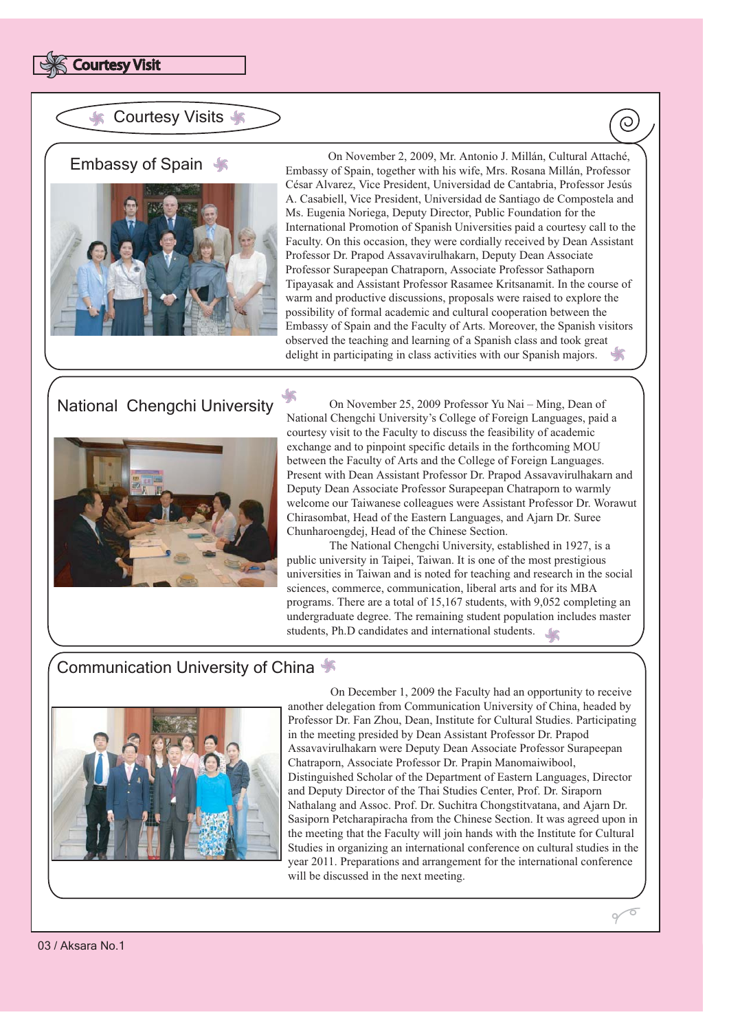

#### **Courtesy Visits \***

#### Embassy of Spain



 On November 2, 2009, Mr. Antonio J. Millán, Cultural Attaché, Embassy of Spain, together with his wife, Mrs. Rosana Millán, Professor César Alvarez, Vice President, Universidad de Cantabria, Professor Jesús A. Casabiell, Vice President, Universidad de Santiago de Compostela and Ms. Eugenia Noriega, Deputy Director, Public Foundation for the International Promotion of Spanish Universities paid a courtesy call to the Faculty. On this occasion, they were cordially received by Dean Assistant Professor Dr. Prapod Assavavirulhakarn, Deputy Dean Associate Professor Surapeepan Chatraporn, Associate Professor Sathaporn Tipayasak and Assistant Professor Rasamee Kritsanamit. In the course of warm and productive discussions, proposals were raised to explore the possibility of formal academic and cultural cooperation between the Embassy of Spain and the Faculty of Arts. Moreover, the Spanish visitors observed the teaching and learning of a Spanish class and took great delight in participating in class activities with our Spanish majors.

# National Chengchi University



 On November 25, 2009 Professor Yu Nai – Ming, Dean of National Chengchi University's College of Foreign Languages, paid a courtesy visit to the Faculty to discuss the feasibility of academic exchange and to pinpoint specific details in the forthcoming MOU between the Faculty of Arts and the College of Foreign Languages. Present with Dean Assistant Professor Dr. Prapod Assavavirulhakarn and Deputy Dean Associate Professor Surapeepan Chatraporn to warmly welcome our Taiwanese colleagues were Assistant Professor Dr. Worawut Chirasombat, Head of the Eastern Languages, and Ajarn Dr. Suree Chunharoengdej, Head of the Chinese Section.

 The National Chengchi University, established in 1927, is a public university in Taipei, Taiwan. It is one of the most prestigious universities in Taiwan and is noted for teaching and research in the social sciences, commerce, communication, liberal arts and for its MBA programs. There are a total of 15,167 students, with 9,052 completing an undergraduate degree. The remaining student population includes master students, Ph.D candidates and international students.

## Communication University of China



 On December 1, 2009 the Faculty had an opportunity to receive another delegation from Communication University of China, headed by Professor Dr. Fan Zhou, Dean, Institute for Cultural Studies. Participating in the meeting presided by Dean Assistant Professor Dr. Prapod Assavavirulhakarn were Deputy Dean Associate Professor Surapeepan Chatraporn, Associate Professor Dr. Prapin Manomaiwibool, Distinguished Scholar of the Department of Eastern Languages, Director and Deputy Director of the Thai Studies Center, Prof. Dr. Siraporn Nathalang and Assoc. Prof. Dr. Suchitra Chongstitvatana, and Ajarn Dr. Sasiporn Petcharapiracha from the Chinese Section. It was agreed upon in the meeting that the Faculty will join hands with the Institute for Cultural Studies in organizing an international conference on cultural studies in the year 2011. Preparations and arrangement for the international conference will be discussed in the next meeting.

 $\overline{O}$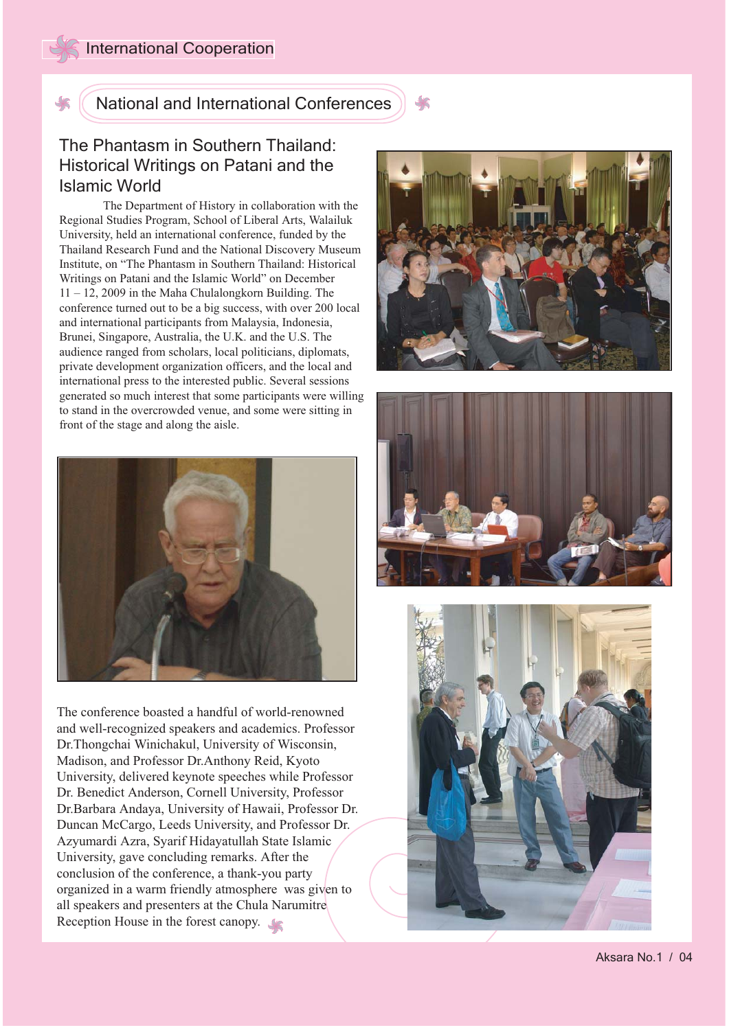National and International Conferences

## The Phantasm in Southern Thailand: Historical Writings on Patani and the Islamic World

 The Department of History in collaboration with the Regional Studies Program, School of Liberal Arts, Walailuk University, held an international conference, funded by the Thailand Research Fund and the National Discovery Museum Institute, on "The Phantasm in Southern Thailand: Historical Writings on Patani and the Islamic World" on December 11 – 12, 2009 in the Maha Chulalongkorn Building. The conference turned out to be a big success, with over 200 local and international participants from Malaysia, Indonesia, Brunei, Singapore, Australia, the U.K. and the U.S. The audience ranged from scholars, local politicians, diplomats, private development organization officers, and the local and international press to the interested public. Several sessions generated so much interest that some participants were willing to stand in the overcrowded venue, and some were sitting in front of the stage and along the aisle.



The conference boasted a handful of world-renowned and well-recognized speakers and academics. Professor Dr.Thongchai Winichakul, University of Wisconsin, Madison, and Professor Dr.Anthony Reid, Kyoto University, delivered keynote speeches while Professor Dr. Benedict Anderson, Cornell University, Professor Dr.Barbara Andaya, University of Hawaii, Professor Dr. Duncan McCargo, Leeds University, and Professor Dr. Azyumardi Azra, Syarif Hidayatullah State Islamic University, gave concluding remarks. After the conclusion of the conference, a thank-you party organized in a warm friendly atmosphere was given to all speakers and presenters at the Chula Narumitre Reception House in the forest canopy.